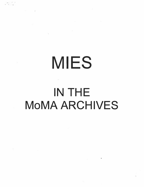# MIES

 $\sim 10^{-10}$  km  $^{-1}$ 

 $\mathcal{F}$  . The contract of the contract of the contract of the contract of the contract of the contract of the contract of the contract of the contract of the contract of the contract of the contract of the contract of th

# IN THE MoMA ARCHIVES

The Committee of the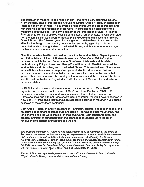The Museum of Modem Art and Mies van der Rohe have a very distinctive history. From the early days of this institution, founding Director Alfred H. Barr, Jr. had a keen interest in the work of Mies. He cultivated a relationship with the great architect and nurtured wide-spread recognition of his work. In considering an architect for the Museum's 1939 building  $-$  an early landmark of the "International Style" in America  $-$ Barr ardently wished to-employ Mies as co-architect. Unfortunately, he was overruled and the commission was given to Trustee Philip Goodwin and his assistant, Edward Durrell Stone. The following year, Barr suggested to Helen Resor that she consider Mies for the design of her country house in Jackson Hole, Wyoming. It is this commission which brought Mies to the United States, and thus forevermore changed the landscape of modern urban America.

� .

Over the decades, MoMA continued to champion the work of Mies. Beginning as early as 1932 with its exhibition of Modem Architecture: lntemational Exhibition (the occasion at which the term "International Style" was christened) and its related publications by Philip Johnson and Henry-Russell Hitchcock, MoMA introduced the work of Mies and his colleagues to the United States. This was followed fifteen years later with Mies' first major retrospective, presented at the Museum in 1947 and circulated around the country to thirteen venues over the course of two and a half years. Philip Johnson wrote the catalogue that accompanied the exhibition; the book was the first publication in English devoted to the work of Mies and the text achieved canonical status.

In 1969, the Museum mounted a memorial exhibition in honor of Mies. MoMA organized an exhibition on the theme of Mies' Barcelona Pavilion in 1979. The exhibition, consisting of original drawings, studies, plans, photos, a model, and a Barcelona chair and ottoman, was shown in four countries, though it never appeared in New York. A large-scale, posthumous retrospective occurred at MoMA in 1986 on the occasion of the architect's centennial.

Both Alfred H. Barr, Jr. and Philip Johnson – architect, Trustee, and former head of the Museum's department of architecture and design - as well as other MoMA staff, had long championed the work of Mies. In their own words, Barr considered Mies "the greatest architect of our generation" and Johnson regarded him as "a leader of revolutionizing modem architecture and the arts."

The Museum of Modem Art Archives was established in 1989 by resolution of the Board of Trustees as an independent Museum program to preserve and make accessible the Museum's historical records to staff, outside scholars, and researchers. Additionally, the Museum Archives is the custodian of primary source material and other historical documentation related to the history of twentieth-century art. Documents in this exhibition, on view summer through fall 2001, were selected from the holdings of the Museum Archives for display in conjunction with the current exhibition Mies in Berlin [June 21-September 11, 2001].

This exhibition was organized by members of the staff of the Museum Archives: Michelle Elligott, Michelle Harvey, Jeremy Melius, and Kathleen Tunney.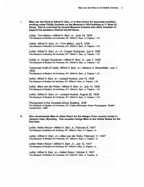I. Mies van der Rohe is Alfred H. Barr, Jr.'s first choice for associate architect working under Phillip Goodwin on the Museum's 1939 building at 11 West 53 Street. Barr is overruled by several Museum trustees who allow Goodwin to appoint his assistant, Edward Durrell Stone.

Letter, Tom Mabry-Alfred H. Barr, Jr., June 18, 1936 The Museum of Modem Art Archives, NY: Alfred H. Barr, Jr. Papers, 1.18.

Cable, Alfred H. Barr, Jr.—Tom Mabry, July 6, 1936 The Museum of Modem Art Archives, NY: Alfred H. Barr, Jr. Papers, 1.18.

Letter, Alfred H. Barr, Jr.—A. Conger Goodyear, July 6, 1936 The Museum of Modem Art Archives, NY: Alfred H. Barr, Jr. Papers, 1.18.

Cable, A. Conger Goodyear—Alfred H. Barr, Jr., July 7, 1936 The Museum of Modem Art Archives, NY: Alfred H. Barr, Jr. Papers, 1.18.

Typescript Draft of Cable, Alfred H. Barr, Jr.-Nelson A. Rockefeller, July 7, 1936

The Museum of Modem Art Archives, NY: Alfred H. Barr, Jr. Papers, 1.18.

Letter, Alfred H. Barr, Jr.—Joseph Hudnut, July 10, 1936 The Museum of Modem Art Archives, NY: Alfred H. Barr, Jr. Papers, 1.18.

Letter, Mies van der Rohe-Alfred H. Barr, Jr., July 14, 1936 The Museum of Modem Art Archives, NY: Alfred H. Barr, Jr. Papers, 1.18.

Letter, Alfred H. Barr, Jr.—Joseph Hudnut, August 26, 1936 The Museum of Modem Art Archives, NY: Alfred H. Barr, Jr. Papers, 1.18.

Photograph of the Goodwin-Stone Building, 1939 The Museum of Modem Art Archives, NY: Public lnfonnation Event Photographs, "MoMA Construdion, 1938·.

II, Barr recommends Mies to Helen Resor for the design of her country house In Jackson Hole, Wyoming. This occasion brings Mies to the United States for the first time.

Letter, Helen Resor-Alfred H. Barr, Jr., February 8, 1937 The Museum of Modem Art Archives, NY: Alfred H. Barr, Jr. Papers, 1c.

Letter, Alfred H. Barr, Jr.-Mies van der Rohe, February 11, 1937 The Museum of Modem Art Archives, NY: Alfred H. Barr, Jr. Papers, 1c.

Letter Helen Resor-Alfred H. Barr. Jr., July 12, 1937 The Museum of Modem Art Archives, NY: Alfred H. Barr, Jr. Papers, 1c.

Letter, Alfred H. Barr, Jr.-Helen Resor, October 2, 1937 The Museum of Modem Art Archives, NY: Alfred H. Barr, Jr. Papers, 1c.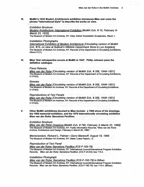Ill. MoMA's 1932 Modem Architecture exhibition introduces Mies and coins the phrase "International Style" to describe the works on view.

## Exhibition Brochure

Modem Architecture: International Exhibition [MaMA Exh. # 15, February 9- March 23, 1932].

The Museum of Modem Art Archives, NY: Abby Aldrich Rockefeller Scrapbooks, Album 1.

## Installation Photographs

International Exhibition of Modem Architecture [Circulating version of MoMA Exh. #15, an view at Bullock's Wilshire Department Store in Las Angeles]. The Museum of Modem Art Archives, NY: Records of the Department of Circulating Exhibitions, Album A1(1).

IV. Mies' first retrospective occurs at MoMA in 1947. Philip Johnson pens the definitive catalogue.

#### Press Release

Mies van der Rohe [Circulating version of MaMA Exh. # 356, 1948-1951] The Museum of Modem Art Archives, NY: Records of the Department of Circulating Exhibitions,  $II.174(4).$ 

# **Itinerary**

Mies van der Rahe [Circulating version of MoMA Exh: # 356, 1948-1951] The Museum of Modem Art Archives, NY: Records of the Department of Circulating Exhibitions,  $11.174(4)$ .

# Reproductions of Text Panels

Mies van der Rohe [Circulating version of MoMA Exh. # 356, 1948-1951] The Museum of Modem Art Archives, NY: Records of the Department of Circulating Exhibitions,  $11.174(4)$ .

V. Other MoMA exhibitions devoted to Mies Include: a 1966 show of his drawings, the 1969 memorial exhibition, and the 1979 Internationally circulating exhibition Mies van der Rohe: Barcelona Pavillion.

## Exhibition Brochure

Mies van der Rohe Drawings [MoMA Exh. # 790, February 2-March 23, 1966] Tha Museum of Modem Art Archives, NY: Public Information Records, •Mtes van der Rohe Archive, Architecture and Design, February 2-March 20, 1966:

Memorandum, Richard L. Palmer-Gerry Marenoff, August 19, 1969 The Museum of Modem Art Archives, NY: Bates Lowry Papers, 1.3.

# Reproduction of Text Panel

Mies van der Rohe: Barcelona Pavillion [ICE-F-192-79] The Museum of Modem Art Archives, NY: International Councilllntemational Program Exhibition Records. Mies van der Rohe: Barcelona Pavillion. (ICE-F-24-54): box 115.2.

# Installation Photograph

Mies van der Rohe: Barcelona Pavillion [ICE-F-192-79] in Bilbao The Museum of Modem Art Archives, NY: International Council/International Program Exhibition Records. Mies van der Rohe: Barcelona Pavillion. (ICE-F-192-79): box 115.4. (Bilbao).